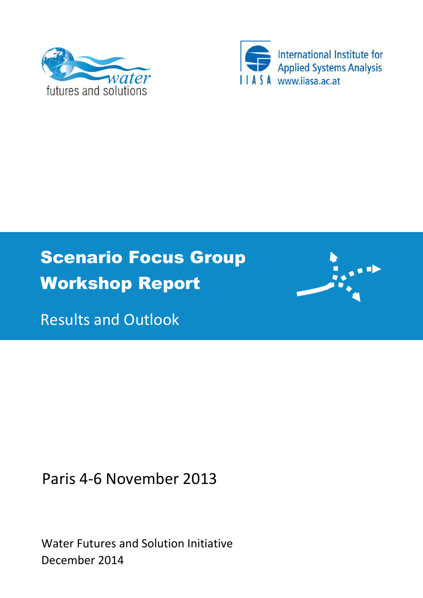



# Scenario Focus Group Workshop Report



Results and Outlook

Paris 4-6 November 2013

Water Futures and Solution Initiative December 2014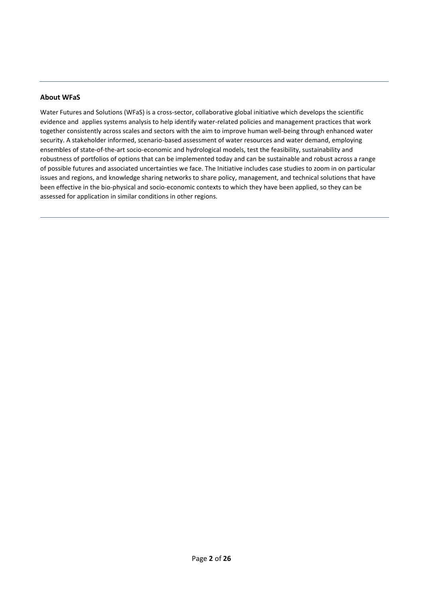#### **About WFaS**

Water Futures and Solutions (WFaS) is a cross-sector, collaborative global initiative which develops the scientific evidence and applies systems analysis to help identify water-related policies and management practices that work together consistently across scales and sectors with the aim to improve human well-being through enhanced water security. A stakeholder informed, scenario-based assessment of water resources and water demand, employing ensembles of state-of-the-art socio-economic and hydrological models, test the feasibility, sustainability and robustness of portfolios of options that can be implemented today and can be sustainable and robust across a range of possible futures and associated uncertainties we face. The Initiative includes case studies to zoom in on particular issues and regions, and knowledge sharing networks to share policy, management, and technical solutions that have been effective in the bio-physical and socio-economic contexts to which they have been applied, so they can be assessed for application in similar conditions in other regions.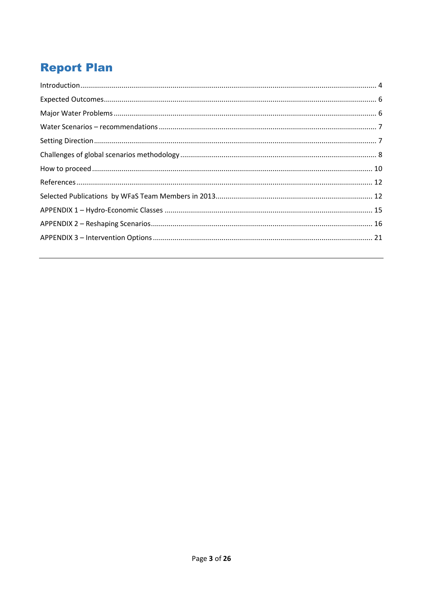### **Report Plan**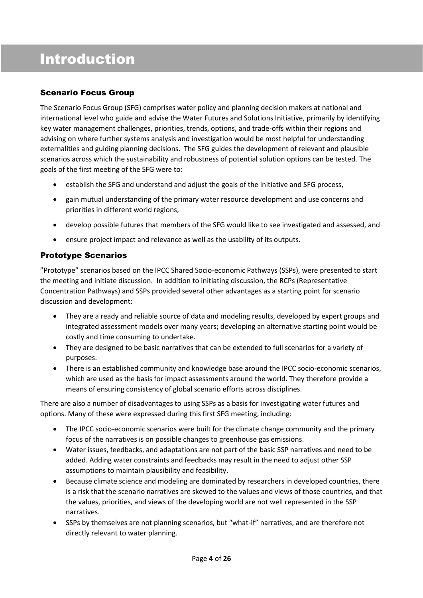### Introduction

### Scenario Focus Group

The Scenario Focus Group (SFG) comprises water policy and planning decision makers at national and international level who guide and advise the Water Futures and Solutions Initiative, primarily by identifying key water management challenges, priorities, trends, options, and trade-offs within their regions and advising on where further systems analysis and investigation would be most helpful for understanding externalities and guiding planning decisions. The SFG guides the development of relevant and plausible scenarios across which the sustainability and robustness of potential solution options can be tested. The goals of the first meeting of the SFG were to:

- establish the SFG and understand and adjust the goals of the initiative and SFG process,
- gain mutual understanding of the primary water resource development and use concerns and priorities in different world regions,
- develop possible futures that members of the SFG would like to see investigated and assessed, and
- ensure project impact and relevance as well as the usability of its outputs.

### Prototype Scenarios

"Prototype" scenarios based on the IPCC Shared Socio-economic Pathways (SSPs), were presented to start the meeting and initiate discussion. In addition to initiating discussion, the RCPs (Representative Concentration Pathways) and SSPs provided several other advantages as a starting point for scenario discussion and development:

- They are a ready and reliable source of data and modeling results, developed by expert groups and integrated assessment models over many years; developing an alternative starting point would be costly and time consuming to undertake.
- They are designed to be basic narratives that can be extended to full scenarios for a variety of purposes.
- There is an established community and knowledge base around the IPCC socio-economic scenarios, which are used as the basis for impact assessments around the world. They therefore provide a means of ensuring consistency of global scenario efforts across disciplines.

There are also a number of disadvantages to using SSPs as a basis for investigating water futures and options. Many of these were expressed during this first SFG meeting, including:

- The IPCC socio-economic scenarios were built for the climate change community and the primary focus of the narratives is on possible changes to greenhouse gas emissions.
- Water issues, feedbacks, and adaptations are not part of the basic SSP narratives and need to be added. Adding water constraints and feedbacks may result in the need to adjust other SSP assumptions to maintain plausibility and feasibility.
- Because climate science and modeling are dominated by researchers in developed countries, there is a risk that the scenario narratives are skewed to the values and views of those countries, and that the values, priorities, and views of the developing world are not well represented in the SSP narratives.
- SSPs by themselves are not planning scenarios, but "what-if" narratives, and are therefore not directly relevant to water planning.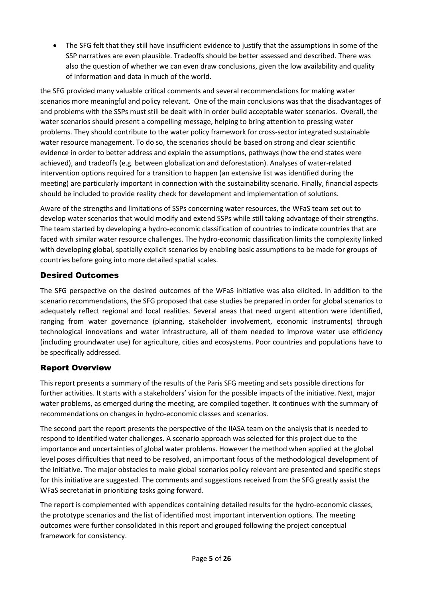The SFG felt that they still have insufficient evidence to justify that the assumptions in some of the SSP narratives are even plausible. Tradeoffs should be better assessed and described. There was also the question of whether we can even draw conclusions, given the low availability and quality of information and data in much of the world.

the SFG provided many valuable critical comments and several recommendations for making water scenarios more meaningful and policy relevant. One of the main conclusions was that the disadvantages of and problems with the SSPs must still be dealt with in order build acceptable water scenarios. Overall, the water scenarios should present a compelling message, helping to bring attention to pressing water problems. They should contribute to the water policy framework for cross-sector integrated sustainable water resource management. To do so, the scenarios should be based on strong and clear scientific evidence in order to better address and explain the assumptions, pathways (how the end states were achieved), and tradeoffs (e.g. between globalization and deforestation). Analyses of water-related intervention options required for a transition to happen (an extensive list was identified during the meeting) are particularly important in connection with the sustainability scenario. Finally, financial aspects should be included to provide reality check for development and implementation of solutions.

Aware of the strengths and limitations of SSPs concerning water resources, the WFaS team set out to develop water scenarios that would modify and extend SSPs while still taking advantage of their strengths. The team started by developing a hydro-economic classification of countries to indicate countries that are faced with similar water resource challenges. The hydro-economic classification limits the complexity linked with developing global, spatially explicit scenarios by enabling basic assumptions to be made for groups of countries before going into more detailed spatial scales.

### Desired Outcomes

The SFG perspective on the desired outcomes of the WFaS initiative was also elicited. In addition to the scenario recommendations, the SFG proposed that case studies be prepared in order for global scenarios to adequately reflect regional and local realities. Several areas that need urgent attention were identified, ranging from water governance (planning, stakeholder involvement, economic instruments) through technological innovations and water infrastructure, all of them needed to improve water use efficiency (including groundwater use) for agriculture, cities and ecosystems. Poor countries and populations have to be specifically addressed.

### Report Overview

This report presents a summary of the results of the Paris SFG meeting and sets possible directions for further activities. It starts with a stakeholders' vision for the possible impacts of the initiative. Next, major water problems, as emerged during the meeting, are compiled together. It continues with the summary of recommendations on changes in hydro-economic classes and scenarios.

The second part the report presents the perspective of the IIASA team on the analysis that is needed to respond to identified water challenges. A scenario approach was selected for this project due to the importance and uncertainties of global water problems. However the method when applied at the global level poses difficulties that need to be resolved, an important focus of the methodological development of the Initiative. The major obstacles to make global scenarios policy relevant are presented and specific steps for this initiative are suggested. The comments and suggestions received from the SFG greatly assist the WFaS secretariat in prioritizing tasks going forward.

The report is complemented with appendices containing detailed results for the hydro-economic classes, the prototype scenarios and the list of identified most important intervention options. The meeting outcomes were further consolidated in this report and grouped following the project conceptual framework for consistency.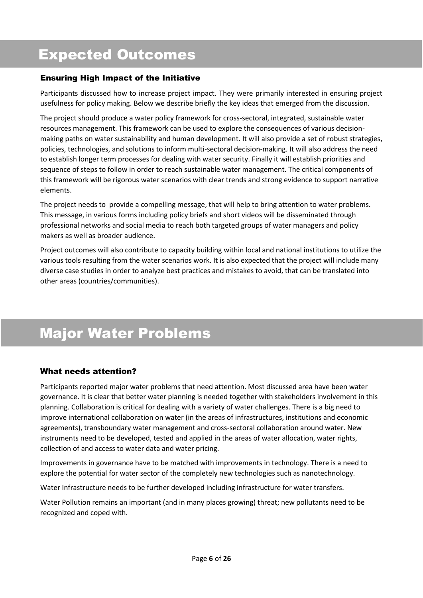## Expected Outcomes

### Ensuring High Impact of the Initiative

Participants discussed how to increase project impact. They were primarily interested in ensuring project usefulness for policy making. Below we describe briefly the key ideas that emerged from the discussion.

The project should produce a water policy framework for cross-sectoral, integrated, sustainable water resources management. This framework can be used to explore the consequences of various decisionmaking paths on water sustainability and human development. It will also provide a set of robust strategies, policies, technologies, and solutions to inform multi-sectoral decision-making. It will also address the need to establish longer term processes for dealing with water security. Finally it will establish priorities and sequence of steps to follow in order to reach sustainable water management. The critical components of this framework will be rigorous water scenarios with clear trends and strong evidence to support narrative elements.

The project needs to provide a compelling message, that will help to bring attention to water problems. This message, in various forms including policy briefs and short videos will be disseminated through professional networks and social media to reach both targeted groups of water managers and policy makers as well as broader audience.

Project outcomes will also contribute to capacity building within local and national institutions to utilize the various tools resulting from the water scenarios work. It is also expected that the project will include many diverse case studies in order to analyze best practices and mistakes to avoid, that can be translated into other areas (countries/communities).

## Major Water Problems

#### What needs attention?

Participants reported major water problems that need attention. Most discussed area have been water governance. It is clear that better water planning is needed together with stakeholders involvement in this planning. Collaboration is critical for dealing with a variety of water challenges. There is a big need to improve international collaboration on water (in the areas of infrastructures, institutions and economic agreements), transboundary water management and cross-sectoral collaboration around water. New instruments need to be developed, tested and applied in the areas of water allocation, water rights, collection of and access to water data and water pricing.

Improvements in governance have to be matched with improvements in technology. There is a need to explore the potential for water sector of the completely new technologies such as nanotechnology.

Water Infrastructure needs to be further developed including infrastructure for water transfers.

Water Pollution remains an important (and in many places growing) threat; new pollutants need to be recognized and coped with.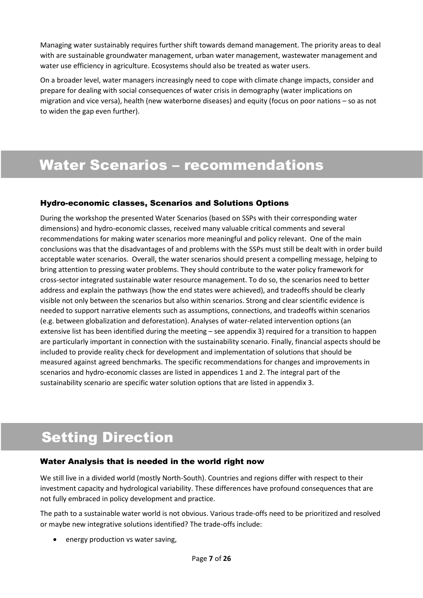Managing water sustainably requires further shift towards demand management. The priority areas to deal with are sustainable groundwater management, urban water management, wastewater management and water use efficiency in agriculture. Ecosystems should also be treated as water users.

On a broader level, water managers increasingly need to cope with climate change impacts, consider and prepare for dealing with social consequences of water crisis in demography (water implications on migration and vice versa), health (new waterborne diseases) and equity (focus on poor nations – so as not to widen the gap even further).

### Water Scenarios – recommendations

#### Hydro-economic classes, Scenarios and Solutions Options

During the workshop the presented Water Scenarios (based on SSPs with their corresponding water dimensions) and hydro-economic classes, received many valuable critical comments and several recommendations for making water scenarios more meaningful and policy relevant. One of the main conclusions was that the disadvantages of and problems with the SSPs must still be dealt with in order build acceptable water scenarios. Overall, the water scenarios should present a compelling message, helping to bring attention to pressing water problems. They should contribute to the water policy framework for cross-sector integrated sustainable water resource management. To do so, the scenarios need to better address and explain the pathways (how the end states were achieved), and tradeoffs should be clearly visible not only between the scenarios but also within scenarios. Strong and clear scientific evidence is needed to support narrative elements such as assumptions, connections, and tradeoffs within scenarios (e.g. between globalization and deforestation). Analyses of water-related intervention options (an extensive list has been identified during the meeting – see appendix 3) required for a transition to happen are particularly important in connection with the sustainability scenario. Finally, financial aspects should be included to provide reality check for development and implementation of solutions that should be measured against agreed benchmarks. The specific recommendations for changes and improvements in scenarios and hydro-economic classes are listed in appendices 1 and 2. The integral part of the sustainability scenario are specific water solution options that are listed in appendix 3.

## Setting Direction

#### Water Analysis that is needed in the world right now

We still live in a divided world (mostly North-South). Countries and regions differ with respect to their investment capacity and hydrological variability. These differences have profound consequences that are not fully embraced in policy development and practice.

The path to a sustainable water world is not obvious. Various trade-offs need to be prioritized and resolved or maybe new integrative solutions identified? The trade-offs include:

energy production vs water saving,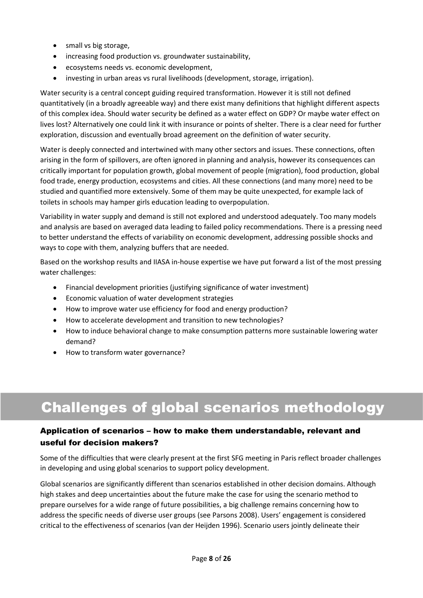- small vs big storage,
- increasing food production vs. groundwater sustainability,
- ecosystems needs vs. economic development,
- investing in urban areas vs rural livelihoods (development, storage, irrigation).

Water security is a central concept guiding required transformation. However it is still not defined quantitatively (in a broadly agreeable way) and there exist many definitions that highlight different aspects of this complex idea. Should water security be defined as a water effect on GDP? Or maybe water effect on lives lost? Alternatively one could link it with insurance or points of shelter. There is a clear need for further exploration, discussion and eventually broad agreement on the definition of water security.

Water is deeply connected and intertwined with many other sectors and issues. These connections, often arising in the form of spillovers, are often ignored in planning and analysis, however its consequences can critically important for population growth, global movement of people (migration), food production, global food trade, energy production, ecosystems and cities. All these connections (and many more) need to be studied and quantified more extensively. Some of them may be quite unexpected, for example lack of toilets in schools may hamper girls education leading to overpopulation.

Variability in water supply and demand is still not explored and understood adequately. Too many models and analysis are based on averaged data leading to failed policy recommendations. There is a pressing need to better understand the effects of variability on economic development, addressing possible shocks and ways to cope with them, analyzing buffers that are needed.

Based on the workshop results and IIASA in-house expertise we have put forward a list of the most pressing water challenges:

- Financial development priorities (justifying significance of water investment)
- Economic valuation of water development strategies
- How to improve water use efficiency for food and energy production?
- How to accelerate development and transition to new technologies?
- How to induce behavioral change to make consumption patterns more sustainable lowering water demand?
- How to transform water governance?

## Challenges of global scenarios methodology

### Application of scenarios – how to make them understandable, relevant and useful for decision makers?

Some of the difficulties that were clearly present at the first SFG meeting in Paris reflect broader challenges in developing and using global scenarios to support policy development.

Global scenarios are significantly different than scenarios established in other decision domains. Although high stakes and deep uncertainties about the future make the case for using the scenario method to prepare ourselves for a wide range of future possibilities, a big challenge remains concerning how to address the specific needs of diverse user groups (see Parsons 2008). Users' engagement is considered critical to the effectiveness of scenarios (van der Heijden 1996). Scenario users jointly delineate their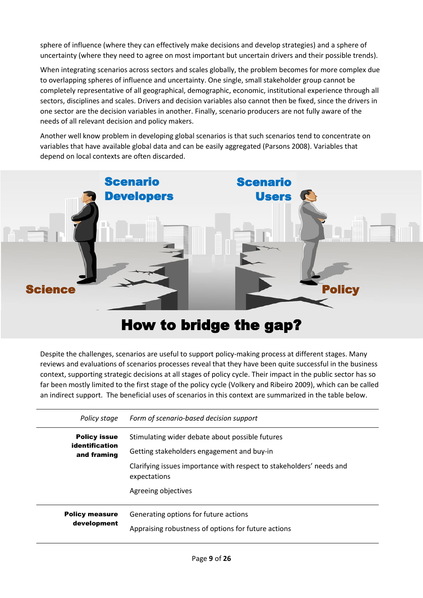sphere of influence (where they can effectively make decisions and develop strategies) and a sphere of uncertainty (where they need to agree on most important but uncertain drivers and their possible trends).

When integrating scenarios across sectors and scales globally, the problem becomes for more complex due to overlapping spheres of influence and uncertainty. One single, small stakeholder group cannot be completely representative of all geographical, demographic, economic, institutional experience through all sectors, disciplines and scales. Drivers and decision variables also cannot then be fixed, since the drivers in one sector are the decision variables in another. Finally, scenario producers are not fully aware of the needs of all relevant decision and policy makers.

Another well know problem in developing global scenarios is that such scenarios tend to concentrate on variables that have available global data and can be easily aggregated (Parsons 2008). Variables that depend on local contexts are often discarded.



## How to bridge the gap?

Despite the challenges, scenarios are useful to support policy-making process at different stages. Many reviews and evaluations of scenarios processes reveal that they have been quite successful in the business context, supporting strategic decisions at all stages of policy cycle. Their impact in the public sector has so far been mostly limited to the first stage of the policy cycle (Volkery and Ribeiro 2009), which can be called an indirect support. The beneficial uses of scenarios in this context are summarized in the table below.

| Policy stage                                         | Form of scenario-based decision support                                                                                                                                               |
|------------------------------------------------------|---------------------------------------------------------------------------------------------------------------------------------------------------------------------------------------|
| <b>Policy issue</b><br>identification<br>and framing | Stimulating wider debate about possible futures<br>Getting stakeholders engagement and buy-in<br>Clarifying issues importance with respect to stakeholders' needs and<br>expectations |
| <b>Policy measure</b><br>development                 | Agreeing objectives<br>Generating options for future actions<br>Appraising robustness of options for future actions                                                                   |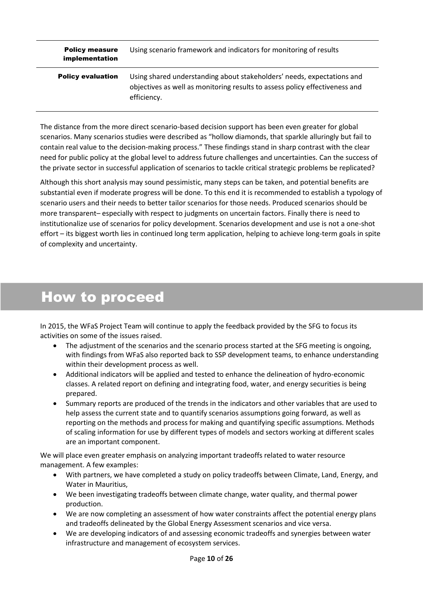| <b>Policy measure</b><br>implementation | Using scenario framework and indicators for monitoring of results                                                                                                    |
|-----------------------------------------|----------------------------------------------------------------------------------------------------------------------------------------------------------------------|
| <b>Policy evaluation</b>                | Using shared understanding about stakeholders' needs, expectations and<br>objectives as well as monitoring results to assess policy effectiveness and<br>efficiency. |

The distance from the more direct scenario-based decision support has been even greater for global scenarios. Many scenarios studies were described as "hollow diamonds, that sparkle alluringly but fail to contain real value to the decision-making process." These findings stand in sharp contrast with the clear need for public policy at the global level to address future challenges and uncertainties. Can the success of the private sector in successful application of scenarios to tackle critical strategic problems be replicated?

Although this short analysis may sound pessimistic, many steps can be taken, and potential benefits are substantial even if moderate progress will be done. To this end it is recommended to establish a typology of scenario users and their needs to better tailor scenarios for those needs. Produced scenarios should be more transparent– especially with respect to judgments on uncertain factors. Finally there is need to institutionalize use of scenarios for policy development. Scenarios development and use is not a one-shot effort – its biggest worth lies in continued long term application, helping to achieve long-term goals in spite of complexity and uncertainty.

## How to proceed

In 2015, the WFaS Project Team will continue to apply the feedback provided by the SFG to focus its activities on some of the issues raised.

- The adjustment of the scenarios and the scenario process started at the SFG meeting is ongoing, with findings from WFaS also reported back to SSP development teams, to enhance understanding within their development process as well.
- Additional indicators will be applied and tested to enhance the delineation of hydro-economic classes. A related report on defining and integrating food, water, and energy securities is being prepared.
- Summary reports are produced of the trends in the indicators and other variables that are used to help assess the current state and to quantify scenarios assumptions going forward, as well as reporting on the methods and process for making and quantifying specific assumptions. Methods of scaling information for use by different types of models and sectors working at different scales are an important component.

We will place even greater emphasis on analyzing important tradeoffs related to water resource management. A few examples:

- With partners, we have completed a study on policy tradeoffs between Climate, Land, Energy, and Water in Mauritius,
- We been investigating tradeoffs between climate change, water quality, and thermal power production.
- We are now completing an assessment of how water constraints affect the potential energy plans and tradeoffs delineated by the Global Energy Assessment scenarios and vice versa.
- We are developing indicators of and assessing economic tradeoffs and synergies between water infrastructure and management of ecosystem services.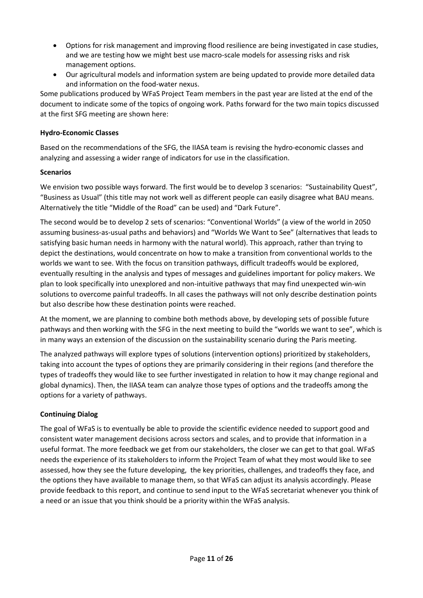- Options for risk management and improving flood resilience are being investigated in case studies, and we are testing how we might best use macro-scale models for assessing risks and risk management options.
- Our agricultural models and information system are being updated to provide more detailed data and information on the food-water nexus.

Some publications produced by WFaS Project Team members in the past year are listed at the end of the document to indicate some of the topics of ongoing work. Paths forward for the two main topics discussed at the first SFG meeting are shown here:

#### **Hydro-Economic Classes**

Based on the recommendations of the SFG, the IIASA team is revising the hydro-economic classes and analyzing and assessing a wider range of indicators for use in the classification.

#### **Scenarios**

We envision two possible ways forward. The first would be to develop 3 scenarios: "Sustainability Quest", "Business as Usual" (this title may not work well as different people can easily disagree what BAU means. Alternatively the title "Middle of the Road" can be used) and "Dark Future".

The second would be to develop 2 sets of scenarios: "Conventional Worlds" (a view of the world in 2050 assuming business-as-usual paths and behaviors) and "Worlds We Want to See" (alternatives that leads to satisfying basic human needs in harmony with the natural world). This approach, rather than trying to depict the destinations, would concentrate on how to make a transition from conventional worlds to the worlds we want to see. With the focus on transition pathways, difficult tradeoffs would be explored, eventually resulting in the analysis and types of messages and guidelines important for policy makers. We plan to look specifically into unexplored and non-intuitive pathways that may find unexpected win-win solutions to overcome painful tradeoffs. In all cases the pathways will not only describe destination points but also describe how these destination points were reached.

At the moment, we are planning to combine both methods above, by developing sets of possible future pathways and then working with the SFG in the next meeting to build the "worlds we want to see", which is in many ways an extension of the discussion on the sustainability scenario during the Paris meeting.

The analyzed pathways will explore types of solutions (intervention options) prioritized by stakeholders, taking into account the types of options they are primarily considering in their regions (and therefore the types of tradeoffs they would like to see further investigated in relation to how it may change regional and global dynamics). Then, the IIASA team can analyze those types of options and the tradeoffs among the options for a variety of pathways.

#### **Continuing Dialog**

The goal of WFaS is to eventually be able to provide the scientific evidence needed to support good and consistent water management decisions across sectors and scales, and to provide that information in a useful format. The more feedback we get from our stakeholders, the closer we can get to that goal. WFaS needs the experience of its stakeholders to inform the Project Team of what they most would like to see assessed, how they see the future developing, the key priorities, challenges, and tradeoffs they face, and the options they have available to manage them, so that WFaS can adjust its analysis accordingly. Please provide feedback to this report, and continue to send input to the WFaS secretariat whenever you think of a need or an issue that you think should be a priority within the WFaS analysis.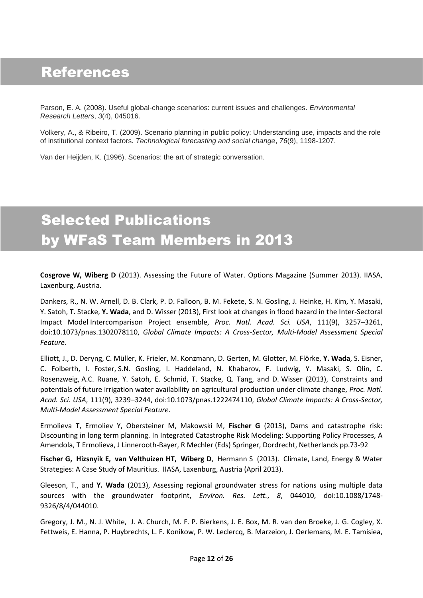### References

Parson, E. A. (2008). Useful global-change scenarios: current issues and challenges. *Environmental Research Letters*, *3*(4), 045016.

Volkery, A., & Ribeiro, T. (2009). Scenario planning in public policy: Understanding use, impacts and the role of institutional context factors. *Technological forecasting and social change*, *76*(9), 1198-1207.

Van der Heijden, K. (1996). Scenarios: the art of strategic conversation.

# Selected Publications by WFaS Team Members in 2013

**Cosgrove W, Wiberg D** (2013). Assessing the Future of Water. Options Magazine (Summer 2013). IIASA, Laxenburg, Austria.

Dankers, R., N. W. Arnell, D. B. Clark, P. D. Falloon, B. M. Fekete, S. N. Gosling, J. Heinke, H. Kim, Y. Masaki, Y. Satoh, T. Stacke, **Y. Wada**, and D. Wisser (2013), First look at changes in flood hazard in the Inter-Sectoral Impact Model Intercomparison Project ensemble, *Proc. Natl. Acad. Sci. USA*, 111(9), 3257–3261, doi:10.1073/pnas.1302078110, *Global Climate Impacts: A Cross-Sector, Multi-Model Assessment Special Feature*.

Elliott, J., D. Deryng, C. Müller, K. Frieler, M. Konzmann, D. Gerten, M. Glotter, M. Flörke, **Y. Wada**, S. Eisner, C. Folberth, I. Foster, S.N. Gosling, I. Haddeland, N. Khabarov, F. Ludwig, Y. Masaki, S. Olin, C. Rosenzweig, A.C. Ruane, Y. Satoh, E. Schmid, T. Stacke, Q. Tang, and D. Wisser (2013), Constraints and potentials of future irrigation water availability on agricultural production under climate change, *Proc. Natl. Acad. Sci. USA*, 111(9), 3239–3244, doi:10.1073/pnas.1222474110, *Global Climate Impacts: A Cross-Sector, Multi-Model Assessment Special Feature*.

Ermolieva T, Ermoliev Y, Obersteiner M, Makowski M, **Fischer G** (2013), Dams and catastrophe risk: Discounting in long term planning. In Integrated Catastrophe Risk Modeling: Supporting Policy Processes, A Amendola, T Ermolieva, J Linnerooth-Bayer, R Mechler (Eds) Springer, Dordrecht, Netherlands pp.73-92

**Fischer G, Hizsnyik E, van Velthuizen HT, Wiberg D**, Hermann S (2013). Climate, Land, Energy & Water Strategies: A Case Study of Mauritius. IIASA, Laxenburg, Austria (April 2013).

Gleeson, T., and **Y. Wada** (2013), Assessing regional groundwater stress for nations using multiple data sources with the groundwater footprint, *Environ. Res. Lett.*, *8*, 044010, doi:10.1088/1748- 9326/8/4/044010.

Gregory, J. M., N. J. White, J. A. Church, M. F. P. Bierkens, J. E. Box, M. R. van den Broeke, J. G. Cogley, X. Fettweis, E. Hanna, P. Huybrechts, L. F. Konikow, P. W. Leclercq, B. Marzeion, J. Oerlemans, M. E. Tamisiea,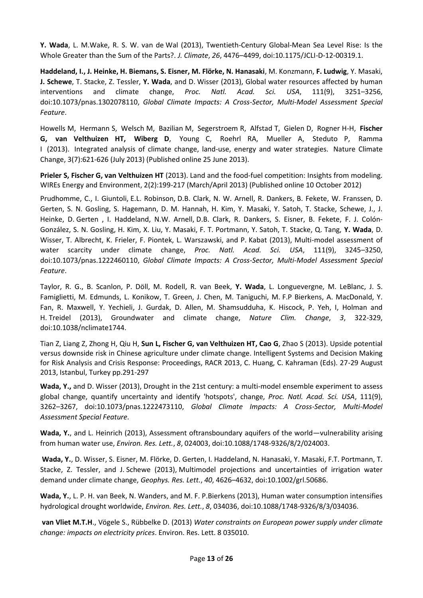**Y. Wada**, L. M.Wake, R. S. W. van de Wal (2013), Twentieth-Century Global-Mean Sea Level Rise: Is the Whole Greater than the Sum of the Parts?. *J. Climate*, *26*, 4476–4499, doi:10.1175/JCLI-D-12-00319.1.

**Haddeland, I., J. Heinke, H. Biemans, S. Eisner, M. Flörke, N. Hanasaki**, M. Konzmann, **F. Ludwig**, Y. Masaki, **J. Schewe**, T. Stacke, Z. Tessler, **Y. Wada**, and D. Wisser (2013), Global water resources affected by human interventions and climate change, *Proc. Natl. Acad. Sci. USA*, 111(9), 3251–3256, doi:10.1073/pnas.1302078110, *Global Climate Impacts: A Cross-Sector, Multi-Model Assessment Special Feature*.

Howells M, Hermann S, Welsch M, Bazilian M, Segerstroem R, Alfstad T, Gielen D, Rogner H-H, **Fischer G, van Velthuizen HT, Wiberg D**, Young C, Roehrl RA, Mueller A, Steduto P, Ramma I (2013). Integrated analysis of climate change, land-use, energy and water strategies. Nature Climate Change, 3(7):621-626 (July 2013) (Published online 25 June 2013).

**Prieler S, Fischer G, van Velthuizen HT** (2013). Land and the food-fuel competition: Insights from modeling. WIREs Energy and Environment, 2(2):199-217 (March/April 2013) (Published online 10 October 2012)

Prudhomme, C., I. Giuntoli, E.L. Robinson, D.B. Clark, N. W. Arnell, R. Dankers, B. Fekete, W. Franssen, D. Gerten, S. N. Gosling, S. Hagemann, D. M. Hannah, H. Kim, Y. Masaki, Y. Satoh, T. Stacke, Schewe, J., J. Heinke, D. Gerten , I. Haddeland, N.W. Arnell, D.B. Clark, R. Dankers, S. Eisner, B. Fekete, F. J. Colón-González, S. N. Gosling, H. Kim, X. Liu, Y. Masaki, F. T. Portmann, Y. Satoh, T. Stacke, Q. Tang, **Y. Wada**, D. Wisser, T. Albrecht, K. Frieler, F. Piontek, L. Warszawski, and P. Kabat (2013), Multi-model assessment of water scarcity under climate change, *Proc. Natl. Acad. Sci. USA*, 111(9), 3245–3250, doi:10.1073/pnas.1222460110, *Global Climate Impacts: A Cross-Sector, Multi-Model Assessment Special Feature*.

Taylor, R. G., B. Scanlon, P. Döll, M. Rodell, R. van Beek, **Y. Wada**, L. Longuevergne, M. LeBlanc, J. S. Famiglietti, M. Edmunds, L. Konikow, T. Green, J. Chen, M. Taniguchi, M. F.P Bierkens, A. MacDonald, Y. Fan, R. Maxwell, Y. Yechieli, J. Gurdak, D. Allen, M. Shamsudduha, K. Hiscock, P. Yeh, I, Holman and H. Treidel (2013), Groundwater and climate change, *Nature Clim. Change*, *3*, 322-329, doi:10.1038/nclimate1744.

Tian Z, Liang Z, Zhong H, Qiu H, **Sun L, Fischer G, van Velthuizen HT, Cao G**, Zhao S (2013). Upside potential versus downside risk in Chinese agriculture under climate change. Intelligent Systems and Decision Making for Risk Analysis and Crisis Response: Proceedings, RACR 2013, C. Huang, C. Kahraman (Eds). 27-29 August 2013, Istanbul, Turkey pp.291-297

**Wada, Y.,** and D. Wisser (2013), Drought in the 21st century: a multi-model ensemble experiment to assess global change, quantify uncertainty and identify 'hotspots', change, *Proc. Natl. Acad. Sci. USA*, 111(9), 3262–3267, doi:10.1073/pnas.1222473110, *Global Climate Impacts: A Cross-Sector, Multi-Model Assessment Special Feature*.

**Wada, Y.**, and L. Heinrich (2013), Assessment oftransboundary aquifers of the world—vulnerability arising from human water use, *Environ. Res. Lett.*, *8*, 024003, doi:10.1088/1748-9326/8/2/024003.

**Wada, Y.**, D. Wisser, S. Eisner, M. Flörke, D. Gerten, I. Haddeland, N. Hanasaki, Y. Masaki, F.T. Portmann, T. Stacke, Z. Tessler, and J. Schewe (2013), Multimodel projections and uncertainties of irrigation water demand under climate change, *Geophys. Res. Lett.*, *40*, 4626–4632, doi:10.1002/grl.50686.

**Wada, Y.**, L. P. H. van Beek, N. Wanders, and M. F. P.Bierkens (2013), Human water consumption intensifies hydrological drought worldwide, *Environ. Res. Lett.*, *8*, 034036, doi:10.1088/1748-9326/8/3/034036.

**van Vliet M.T.H**., Vögele S., Rübbelke D. (2013) *Water constraints on European power supply under climate change: impacts on electricity prices*. Environ. Res. Lett. 8 035010.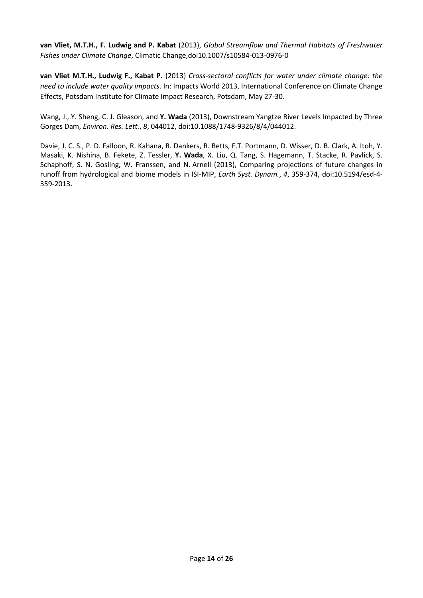**van Vliet, M.T.H., F. Ludwig and P. Kabat** (2013), *Global Streamflow and Thermal Habitats of Freshwater Fishes under Climate Change*, Climatic Change,doi10.1007/s10584-013-0976-0

**van Vliet M.T.H., Ludwig F., Kabat P.** (2013) *Cross-sectoral conflicts for water under climate change: the need to include water quality impacts*. In: Impacts World 2013, International Conference on Climate Change Effects, Potsdam Institute for Climate Impact Research, Potsdam, May 27-30.

Wang, J., Y. Sheng, C. J. Gleason, and **Y. Wada** (2013), Downstream Yangtze River Levels Impacted by Three Gorges Dam, *Environ. Res. Lett.*, *8*, 044012, doi:10.1088/1748-9326/8/4/044012.

Davie, J. C. S., P. D. Falloon, R. Kahana, R. Dankers, R. Betts, F.T. Portmann, D. Wisser, D. B. Clark, A. Itoh, Y. Masaki, K. Nishina, B. Fekete, Z. Tessler, **Y. Wada**, X. Liu, Q. Tang, S. Hagemann, T. Stacke, R. Pavlick, S. Schaphoff, S. N. Gosling, W. Franssen, and N. Arnell (2013), Comparing projections of future changes in runoff from hydrological and biome models in ISI-MIP, *Earth Syst. Dynam.*, *4*, 359-374, doi:10.5194/esd-4- 359-2013.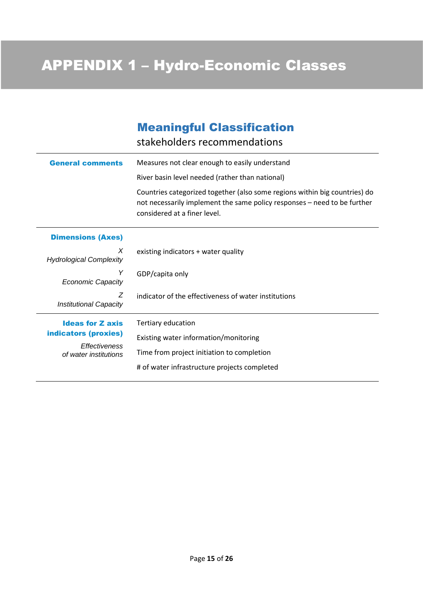### Meaningful Classification

stakeholders recommendations

| <b>General comments</b>                | Measures not clear enough to easily understand                                                                                                                                         |  |  |  |
|----------------------------------------|----------------------------------------------------------------------------------------------------------------------------------------------------------------------------------------|--|--|--|
|                                        | River basin level needed (rather than national)                                                                                                                                        |  |  |  |
|                                        | Countries categorized together (also some regions within big countries) do<br>not necessarily implement the same policy responses - need to be further<br>considered at a finer level. |  |  |  |
| <b>Dimensions (Axes)</b>               |                                                                                                                                                                                        |  |  |  |
| X<br><b>Hydrological Complexity</b>    | existing indicators + water quality                                                                                                                                                    |  |  |  |
| Υ<br><b>Economic Capacity</b>          | GDP/capita only                                                                                                                                                                        |  |  |  |
| Ζ<br><b>Institutional Capacity</b>     | indicator of the effectiveness of water institutions                                                                                                                                   |  |  |  |
| <b>Ideas for Z axis</b>                | Tertiary education                                                                                                                                                                     |  |  |  |
| indicators (proxies)                   | Existing water information/monitoring                                                                                                                                                  |  |  |  |
| Effectiveness<br>of water institutions | Time from project initiation to completion                                                                                                                                             |  |  |  |
|                                        | # of water infrastructure projects completed                                                                                                                                           |  |  |  |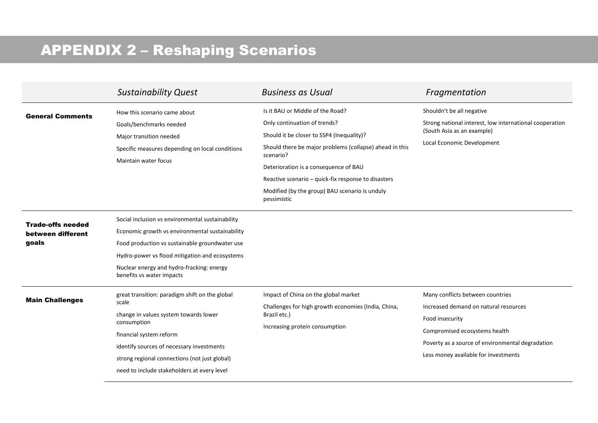# APPENDIX 2 – Reshaping Scenarios

|                                                        | <b>Sustainability Quest</b>                                                                                                                                                                                                                                                             | <b>Business as Usual</b>                                                                                                                                                                                                                                                                                                                               | Fragmentation                                                                                                                                                                                                             |
|--------------------------------------------------------|-----------------------------------------------------------------------------------------------------------------------------------------------------------------------------------------------------------------------------------------------------------------------------------------|--------------------------------------------------------------------------------------------------------------------------------------------------------------------------------------------------------------------------------------------------------------------------------------------------------------------------------------------------------|---------------------------------------------------------------------------------------------------------------------------------------------------------------------------------------------------------------------------|
| <b>General Comments</b>                                | How this scenario came about<br>Goals/benchmarks needed<br>Major transition needed<br>Specific measures depending on local conditions<br>Maintain water focus                                                                                                                           | Is it BAU or Middle of the Road?<br>Only continuation of trends?<br>Should it be closer to SSP4 (Inequality)?<br>Should there be major problems (collapse) ahead in this<br>scenario?<br>Deterioration is a consequence of BAU<br>Reactive scenario - quick-fix response to disasters<br>Modified (by the group) BAU scenario is unduly<br>pessimistic | Shouldn't be all negative<br>Strong national interest, low international cooperation<br>(South Asia as an example)<br>Local Economic Development                                                                          |
| <b>Trade-offs needed</b><br>between different<br>goals | Social inclusion vs environmental sustainability<br>Economic growth vs environmental sustainability<br>Food production vs sustainable groundwater use<br>Hydro-power vs flood mitigation and ecosystems<br>Nuclear energy and hydro-fracking: energy<br>benefits vs water impacts       |                                                                                                                                                                                                                                                                                                                                                        |                                                                                                                                                                                                                           |
| <b>Main Challenges</b>                                 | great transition: paradigm shift on the global<br>scale<br>change in values system towards lower<br>consumption<br>financial system reform<br>identify sources of necessary investments<br>strong regional connections (not just global)<br>need to include stakeholders at every level | Impact of China on the global market<br>Challenges for high growth economies (India, China,<br>Brazil etc.)<br>Increasing protein consumption                                                                                                                                                                                                          | Many conflicts between countries<br>Increased demand on natural resources<br>Food insecurity<br>Compromised ecosystems health<br>Poverty as a source of environmental degradation<br>Less money available for investments |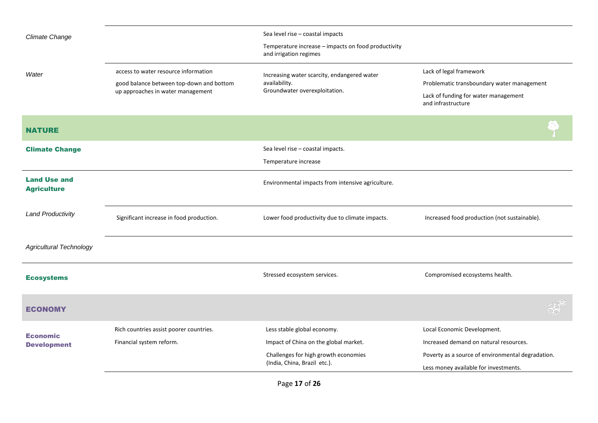| <b>Climate Change</b>                     |                                                                               | Sea level rise - coastal impacts                                              |                                                            |
|-------------------------------------------|-------------------------------------------------------------------------------|-------------------------------------------------------------------------------|------------------------------------------------------------|
|                                           |                                                                               | Temperature increase - impacts on food productivity<br>and irrigation regimes |                                                            |
| Water                                     | access to water resource information                                          | Increasing water scarcity, endangered water                                   | Lack of legal framework                                    |
|                                           | good balance between top-down and bottom<br>up approaches in water management | availability.<br>Groundwater overexploitation.                                | Problematic transboundary water management                 |
|                                           |                                                                               |                                                                               | Lack of funding for water management<br>and infrastructure |
| <b>NATURE</b>                             |                                                                               |                                                                               |                                                            |
| <b>Climate Change</b>                     |                                                                               | Sea level rise - coastal impacts.                                             |                                                            |
|                                           |                                                                               | Temperature increase                                                          |                                                            |
| <b>Land Use and</b><br><b>Agriculture</b> |                                                                               | Environmental impacts from intensive agriculture.                             |                                                            |
| <b>Land Productivity</b>                  | Significant increase in food production.                                      | Lower food productivity due to climate impacts.                               | Increased food production (not sustainable).               |
| <b>Agricultural Technology</b>            |                                                                               |                                                                               |                                                            |
| <b>Ecosystems</b>                         |                                                                               | Stressed ecosystem services.                                                  | Compromised ecosystems health.                             |
| ECONOMY                                   |                                                                               |                                                                               | $\mathcal{L}$                                              |
| <b>Economic</b>                           | Rich countries assist poorer countries.                                       | Less stable global economy.                                                   | Local Economic Development.                                |
| <b>Development</b>                        | Financial system reform.                                                      | Impact of China on the global market.                                         | Increased demand on natural resources.                     |
|                                           |                                                                               | Challenges for high growth economies                                          | Poverty as a source of environmental degradation.          |
|                                           |                                                                               | (India, China, Brazil etc.).                                                  | Less money available for investments.                      |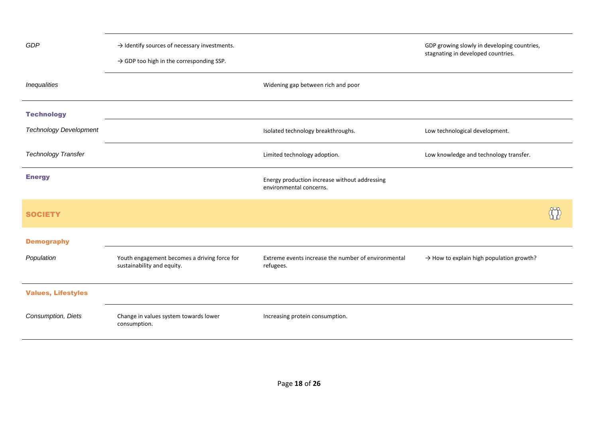| GDP                           | $\rightarrow$ Identify sources of necessary investments.<br>$\rightarrow$ GDP too high in the corresponding SSP. |                                                                          | GDP growing slowly in developing countries,<br>stagnating in developed countries. |
|-------------------------------|------------------------------------------------------------------------------------------------------------------|--------------------------------------------------------------------------|-----------------------------------------------------------------------------------|
| Inequalities                  |                                                                                                                  | Widening gap between rich and poor                                       |                                                                                   |
| <b>Technology</b>             |                                                                                                                  |                                                                          |                                                                                   |
| <b>Technology Development</b> |                                                                                                                  | Isolated technology breakthroughs.                                       | Low technological development.                                                    |
| <b>Technology Transfer</b>    |                                                                                                                  | Limited technology adoption.                                             | Low knowledge and technology transfer.                                            |
| <b>Energy</b>                 |                                                                                                                  | Energy production increase without addressing<br>environmental concerns. |                                                                                   |
| <b>SOCIETY</b>                |                                                                                                                  |                                                                          |                                                                                   |
| <b>Demography</b>             |                                                                                                                  |                                                                          |                                                                                   |
| Population                    | Youth engagement becomes a driving force for<br>sustainability and equity.                                       | Extreme events increase the number of environmental<br>refugees.         | $\rightarrow$ How to explain high population growth?                              |
| <b>Values, Lifestyles</b>     |                                                                                                                  |                                                                          |                                                                                   |
| Consumption, Diets            | Change in values system towards lower<br>consumption.                                                            | Increasing protein consumption.                                          |                                                                                   |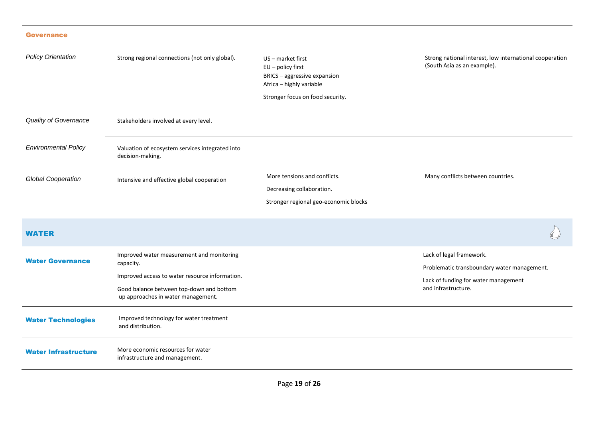#### **Governance**

| <b>Policy Orientation</b>   | Strong regional connections (not only global).                                                                                                                                             | US-market first<br>$EU$ – policy first<br>BRICS - aggressive expansion<br>Africa - highly variable<br>Stronger focus on food security. | Strong national interest, low international cooperation<br>(South Asia as an example).                                                 |
|-----------------------------|--------------------------------------------------------------------------------------------------------------------------------------------------------------------------------------------|----------------------------------------------------------------------------------------------------------------------------------------|----------------------------------------------------------------------------------------------------------------------------------------|
| Quality of Governance       | Stakeholders involved at every level.                                                                                                                                                      |                                                                                                                                        |                                                                                                                                        |
| <b>Environmental Policy</b> | Valuation of ecosystem services integrated into<br>decision-making.                                                                                                                        |                                                                                                                                        |                                                                                                                                        |
| <b>Global Cooperation</b>   | Intensive and effective global cooperation                                                                                                                                                 | More tensions and conflicts.<br>Decreasing collaboration.<br>Stronger regional geo-economic blocks                                     | Many conflicts between countries.                                                                                                      |
| <b>WATER</b>                |                                                                                                                                                                                            |                                                                                                                                        |                                                                                                                                        |
| <b>Water Governance</b>     | Improved water measurement and monitoring<br>capacity.<br>Improved access to water resource information.<br>Good balance between top-down and bottom<br>up approaches in water management. |                                                                                                                                        | Lack of legal framework.<br>Problematic transboundary water management.<br>Lack of funding for water management<br>and infrastructure. |
| <b>Water Technologies</b>   | Improved technology for water treatment<br>and distribution.                                                                                                                               |                                                                                                                                        |                                                                                                                                        |
| <b>Water Infrastructure</b> | More economic resources for water<br>infrastructure and management.                                                                                                                        |                                                                                                                                        |                                                                                                                                        |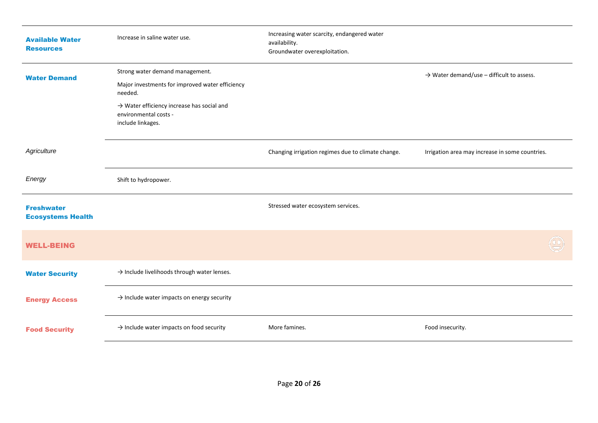| <b>Available Water</b><br><b>Resources</b>    | Increase in saline water use.                                                                        | Increasing water scarcity, endangered water<br>availability.<br>Groundwater overexploitation. |                                                       |
|-----------------------------------------------|------------------------------------------------------------------------------------------------------|-----------------------------------------------------------------------------------------------|-------------------------------------------------------|
| <b>Water Demand</b>                           | Strong water demand management.<br>Major investments for improved water efficiency                   |                                                                                               | $\rightarrow$ Water demand/use – difficult to assess. |
|                                               | needed.                                                                                              |                                                                                               |                                                       |
|                                               | $\rightarrow$ Water efficiency increase has social and<br>environmental costs -<br>include linkages. |                                                                                               |                                                       |
| Agriculture                                   |                                                                                                      | Changing irrigation regimes due to climate change.                                            | Irrigation area may increase in some countries.       |
| Energy                                        | Shift to hydropower.                                                                                 |                                                                                               |                                                       |
| <b>Freshwater</b><br><b>Ecosystems Health</b> |                                                                                                      | Stressed water ecosystem services.                                                            |                                                       |
| <b>WELL-BEING</b>                             |                                                                                                      |                                                                                               |                                                       |
| <b>Water Security</b>                         | $\rightarrow$ Include livelihoods through water lenses.                                              |                                                                                               |                                                       |
| <b>Energy Access</b>                          | $\rightarrow$ Include water impacts on energy security                                               |                                                                                               |                                                       |
| <b>Food Security</b>                          | $\rightarrow$ Include water impacts on food security                                                 | More famines.                                                                                 | Food insecurity.                                      |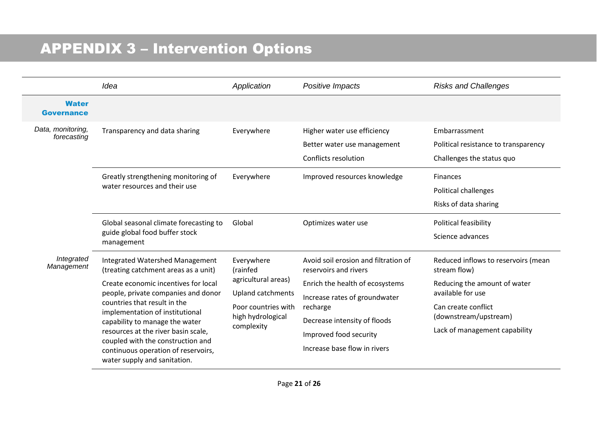# APPENDIX 3 – Intervention Options

|                                   | Idea                                                                                                                                          | Application                                                                                                                         | Positive Impacts                                                                   | <b>Risks and Challenges</b>                                                        |
|-----------------------------------|-----------------------------------------------------------------------------------------------------------------------------------------------|-------------------------------------------------------------------------------------------------------------------------------------|------------------------------------------------------------------------------------|------------------------------------------------------------------------------------|
| <b>Water</b><br><b>Governance</b> |                                                                                                                                               |                                                                                                                                     |                                                                                    |                                                                                    |
| Data, monitoring,<br>forecasting  | Transparency and data sharing                                                                                                                 | Everywhere                                                                                                                          | Higher water use efficiency<br>Better water use management<br>Conflicts resolution | Embarrassment<br>Political resistance to transparency<br>Challenges the status quo |
|                                   | Greatly strengthening monitoring of<br>water resources and their use                                                                          | Everywhere                                                                                                                          | Improved resources knowledge                                                       | Finances<br>Political challenges<br>Risks of data sharing                          |
|                                   | Global seasonal climate forecasting to<br>guide global food buffer stock<br>management                                                        | Global                                                                                                                              | Optimizes water use                                                                | Political feasibility<br>Science advances                                          |
| Integrated<br>Management          | Integrated Watershed Management<br>(treating catchment areas as a unit)                                                                       | Everywhere<br>(rainfed<br>agricultural areas)<br><b>Upland catchments</b><br>Poor countries with<br>high hydrological<br>complexity | Avoid soil erosion and filtration of<br>reservoirs and rivers                      | Reduced inflows to reservoirs (mean<br>stream flow)                                |
|                                   | Create economic incentives for local<br>people, private companies and donor<br>countries that result in the                                   |                                                                                                                                     | Enrich the health of ecosystems<br>Increase rates of groundwater                   | Reducing the amount of water<br>available for use                                  |
|                                   | implementation of institutional<br>capability to manage the water<br>resources at the river basin scale,<br>coupled with the construction and |                                                                                                                                     | recharge<br>Decrease intensity of floods                                           | Can create conflict<br>(downstream/upstream)                                       |
|                                   |                                                                                                                                               |                                                                                                                                     | Improved food security<br>Increase base flow in rivers                             | Lack of management capability                                                      |
|                                   | continuous operation of reservoirs,<br>water supply and sanitation.                                                                           |                                                                                                                                     |                                                                                    |                                                                                    |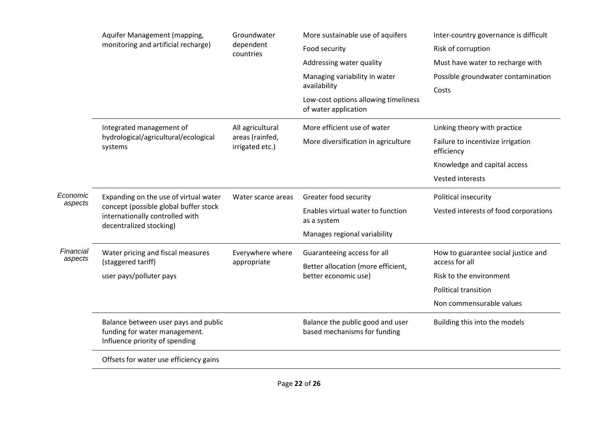|                      | Aquifer Management (mapping,<br>monitoring and artificial recharge)                                                                          | Groundwater<br>dependent<br>countries | More sustainable use of aquifers                                 | Inter-country governance is difficult           |
|----------------------|----------------------------------------------------------------------------------------------------------------------------------------------|---------------------------------------|------------------------------------------------------------------|-------------------------------------------------|
|                      |                                                                                                                                              |                                       | Food security                                                    | Risk of corruption                              |
|                      |                                                                                                                                              |                                       | Addressing water quality                                         | Must have water to recharge with                |
|                      |                                                                                                                                              |                                       | Managing variability in water                                    | Possible groundwater contamination              |
|                      |                                                                                                                                              |                                       | availability                                                     | Costs                                           |
|                      |                                                                                                                                              |                                       | Low-cost options allowing timeliness<br>of water application     |                                                 |
|                      | Integrated management of                                                                                                                     | All agricultural                      | More efficient use of water                                      | Linking theory with practice                    |
|                      | hydrological/agricultural/ecological<br>systems                                                                                              | areas (rainfed,<br>irrigated etc.)    | More diversification in agriculture                              | Failure to incentivize irrigation<br>efficiency |
|                      |                                                                                                                                              |                                       |                                                                  | Knowledge and capital access                    |
|                      |                                                                                                                                              |                                       |                                                                  | Vested interests                                |
| Economic<br>aspects  | Expanding on the use of virtual water<br>concept (possible global buffer stock<br>internationally controlled with<br>decentralized stocking) | Water scarce areas                    | Greater food security                                            | Political insecurity                            |
|                      |                                                                                                                                              |                                       | Enables virtual water to function<br>as a system                 | Vested interests of food corporations           |
|                      |                                                                                                                                              |                                       | Manages regional variability                                     |                                                 |
| Financial<br>aspects | Water pricing and fiscal measures                                                                                                            | Everywhere where                      | Guaranteeing access for all                                      | How to guarantee social justice and             |
|                      | (staggered tariff)                                                                                                                           | appropriate                           | Better allocation (more efficient,                               | access for all                                  |
|                      | user pays/polluter pays                                                                                                                      |                                       | better economic use)                                             | Risk to the environment                         |
|                      |                                                                                                                                              |                                       |                                                                  | <b>Political transition</b>                     |
|                      |                                                                                                                                              |                                       |                                                                  | Non commensurable values                        |
|                      | Balance between user pays and public<br>funding for water management.<br>Influence priority of spending                                      |                                       | Balance the public good and user<br>based mechanisms for funding | Building this into the models                   |
|                      | Offsets for water use efficiency gains                                                                                                       |                                       |                                                                  |                                                 |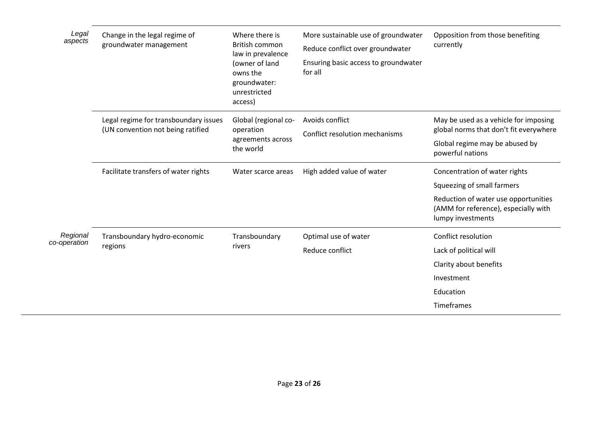| Legal<br>aspects         | Change in the legal regime of<br>groundwater management                    | Where there is<br>British common<br>law in prevalence<br>(owner of land<br>owns the<br>groundwater:<br>unrestricted<br>access) | More sustainable use of groundwater<br>Reduce conflict over groundwater<br>Ensuring basic access to groundwater<br>for all | Opposition from those benefiting<br>currently                                                                                                                    |
|--------------------------|----------------------------------------------------------------------------|--------------------------------------------------------------------------------------------------------------------------------|----------------------------------------------------------------------------------------------------------------------------|------------------------------------------------------------------------------------------------------------------------------------------------------------------|
|                          | Legal regime for transboundary issues<br>(UN convention not being ratified | Global (regional co-<br>operation<br>agreements across<br>the world                                                            | Avoids conflict<br>Conflict resolution mechanisms                                                                          | May be used as a vehicle for imposing<br>global norms that don't fit everywhere<br>Global regime may be abused by<br>powerful nations                            |
|                          | Facilitate transfers of water rights                                       | Water scarce areas                                                                                                             | High added value of water                                                                                                  | Concentration of water rights<br>Squeezing of small farmers<br>Reduction of water use opportunities<br>(AMM for reference), especially with<br>lumpy investments |
| Regional<br>co-operation | Transboundary hydro-economic<br>regions                                    | Transboundary<br>rivers                                                                                                        | Optimal use of water<br>Reduce conflict                                                                                    | Conflict resolution<br>Lack of political will<br>Clarity about benefits<br>Investment<br>Education<br>Timeframes                                                 |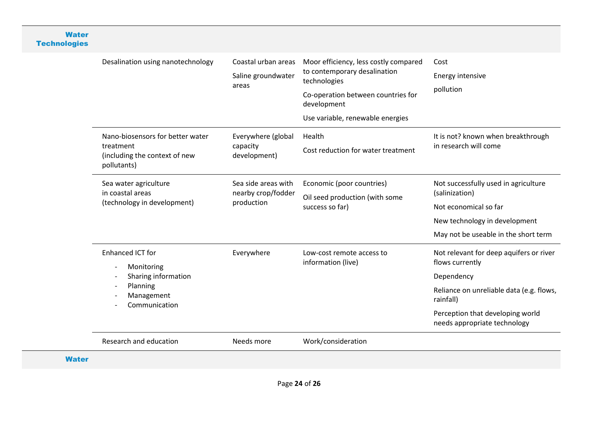#### **Water Technologies**

| Desalination using nanotechnology                                                                | Coastal urban areas<br>Saline groundwater<br>areas      | Moor efficiency, less costly compared<br>to contemporary desalination<br>technologies<br>Co-operation between countries for<br>development<br>Use variable, renewable energies | Cost<br><b>Energy intensive</b><br>pollution                                                                                                                                                          |
|--------------------------------------------------------------------------------------------------|---------------------------------------------------------|--------------------------------------------------------------------------------------------------------------------------------------------------------------------------------|-------------------------------------------------------------------------------------------------------------------------------------------------------------------------------------------------------|
| Nano-biosensors for better water<br>treatment<br>(including the context of new<br>pollutants)    | Everywhere (global<br>capacity<br>development)          | Health<br>Cost reduction for water treatment<br>Economic (poor countries)                                                                                                      | It is not? known when breakthrough<br>in research will come                                                                                                                                           |
| Sea water agriculture<br>in coastal areas<br>(technology in development)                         | Sea side areas with<br>nearby crop/fodder<br>production | Oil seed production (with some<br>success so far)                                                                                                                              | Not successfully used in agriculture<br>(salinization)<br>Not economical so far<br>New technology in development<br>May not be useable in the short term                                              |
| Enhanced ICT for<br>Monitoring<br>Sharing information<br>Planning<br>Management<br>Communication | Everywhere                                              | Low-cost remote access to<br>information (live)                                                                                                                                | Not relevant for deep aquifers or river<br>flows currently<br>Dependency<br>Reliance on unreliable data (e.g. flows,<br>rainfall)<br>Perception that developing world<br>needs appropriate technology |
| Research and education                                                                           | Needs more                                              | Work/consideration                                                                                                                                                             |                                                                                                                                                                                                       |
|                                                                                                  |                                                         |                                                                                                                                                                                |                                                                                                                                                                                                       |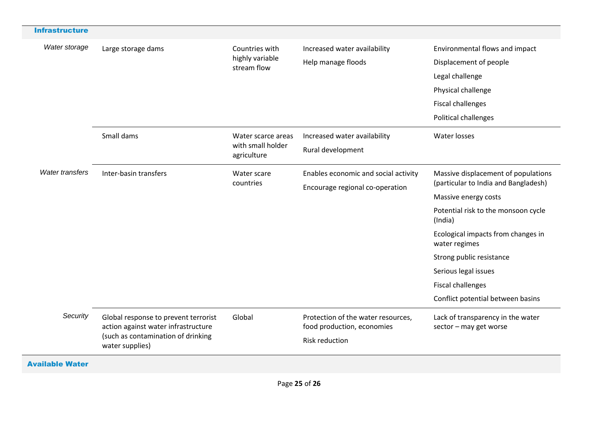| <b>Infrastructure</b>  |                                                                                                                                      |                                                        |                                                                  |                                                             |
|------------------------|--------------------------------------------------------------------------------------------------------------------------------------|--------------------------------------------------------|------------------------------------------------------------------|-------------------------------------------------------------|
| Water storage          | Large storage dams                                                                                                                   | Countries with<br>highly variable<br>stream flow       | Increased water availability                                     | Environmental flows and impact                              |
|                        |                                                                                                                                      |                                                        | Help manage floods                                               | Displacement of people                                      |
|                        |                                                                                                                                      |                                                        |                                                                  | Legal challenge                                             |
|                        |                                                                                                                                      |                                                        |                                                                  | Physical challenge                                          |
|                        |                                                                                                                                      |                                                        |                                                                  | <b>Fiscal challenges</b>                                    |
|                        |                                                                                                                                      |                                                        |                                                                  | Political challenges                                        |
|                        | Small dams                                                                                                                           | Water scarce areas<br>with small holder<br>agriculture | Increased water availability                                     | Water losses                                                |
|                        |                                                                                                                                      |                                                        | Rural development                                                |                                                             |
| <b>Water transfers</b> | Inter-basin transfers                                                                                                                | Water scare<br>countries                               | Enables economic and social activity                             | Massive displacement of populations                         |
|                        |                                                                                                                                      |                                                        | Encourage regional co-operation                                  | (particular to India and Bangladesh)                        |
|                        |                                                                                                                                      |                                                        |                                                                  | Massive energy costs                                        |
|                        |                                                                                                                                      |                                                        |                                                                  | Potential risk to the monsoon cycle<br>(India)              |
|                        |                                                                                                                                      |                                                        |                                                                  | Ecological impacts from changes in<br>water regimes         |
|                        |                                                                                                                                      |                                                        |                                                                  | Strong public resistance                                    |
|                        |                                                                                                                                      |                                                        |                                                                  | Serious legal issues                                        |
|                        |                                                                                                                                      |                                                        |                                                                  | <b>Fiscal challenges</b>                                    |
|                        |                                                                                                                                      |                                                        |                                                                  | Conflict potential between basins                           |
| Security               | Global response to prevent terrorist<br>action against water infrastructure<br>(such as contamination of drinking<br>water supplies) | Global                                                 | Protection of the water resources,<br>food production, economies | Lack of transparency in the water<br>sector - may get worse |
|                        |                                                                                                                                      |                                                        | <b>Risk reduction</b>                                            |                                                             |
| <b>Available Water</b> |                                                                                                                                      |                                                        |                                                                  |                                                             |